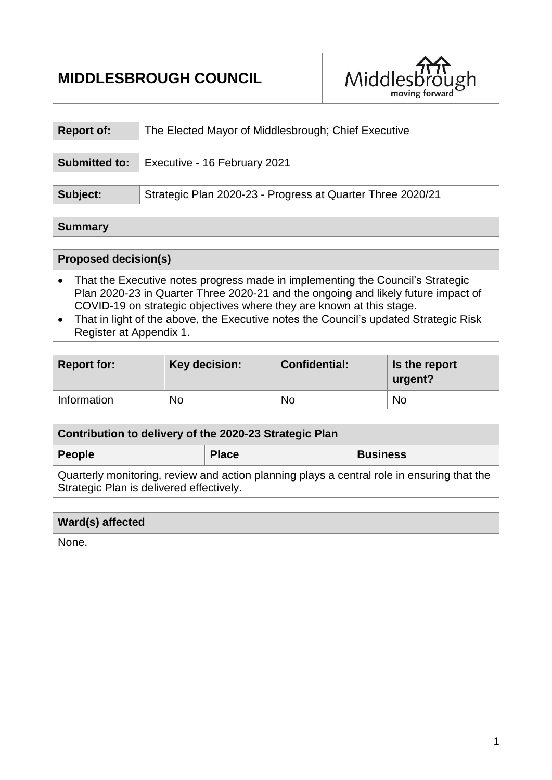# **MIDDLESBROUGH COUNCIL**



| <b>Report of:</b> | The Elected Mayor of Middlesbrough; Chief Executive        |  |  |
|-------------------|------------------------------------------------------------|--|--|
|                   |                                                            |  |  |
|                   | <b>Submitted to:</b> Executive - 16 February 2021          |  |  |
|                   |                                                            |  |  |
| Subject:          | Strategic Plan 2020-23 - Progress at Quarter Three 2020/21 |  |  |

#### **Summary**

## **Proposed decision(s)**

- That the Executive notes progress made in implementing the Council's Strategic Plan 2020-23 in Quarter Three 2020-21 and the ongoing and likely future impact of COVID-19 on strategic objectives where they are known at this stage.
- That in light of the above, the Executive notes the Council's updated Strategic Risk Register at Appendix 1.

| <b>Report for:</b> | Key decision: | <b>Confidential:</b> | Is the report<br>urgent? |
|--------------------|---------------|----------------------|--------------------------|
| Information        | <b>No</b>     | No                   | No                       |

| Contribution to delivery of the 2020-23 Strategic Plan                                                                                 |              |                 |  |  |  |
|----------------------------------------------------------------------------------------------------------------------------------------|--------------|-----------------|--|--|--|
| People                                                                                                                                 | <b>Place</b> | <b>Business</b> |  |  |  |
| Quarterly monitoring, review and action planning plays a central role in ensuring that the<br>Strategic Plan is delivered effectively. |              |                 |  |  |  |

#### **Ward(s) affected**

None.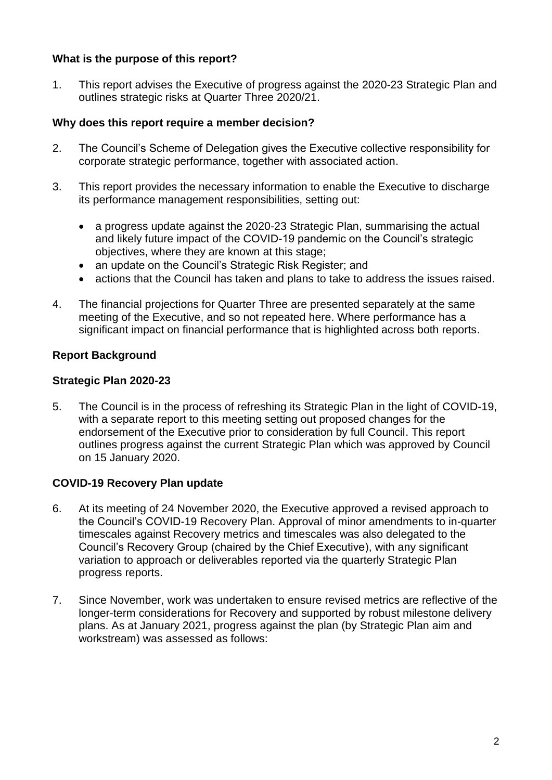## **What is the purpose of this report?**

1. This report advises the Executive of progress against the 2020-23 Strategic Plan and outlines strategic risks at Quarter Three 2020/21.

## **Why does this report require a member decision?**

- 2. The Council's Scheme of Delegation gives the Executive collective responsibility for corporate strategic performance, together with associated action.
- 3. This report provides the necessary information to enable the Executive to discharge its performance management responsibilities, setting out:
	- a progress update against the 2020-23 Strategic Plan, summarising the actual and likely future impact of the COVID-19 pandemic on the Council's strategic objectives, where they are known at this stage;
	- an update on the Council's Strategic Risk Register; and
	- actions that the Council has taken and plans to take to address the issues raised.
- 4. The financial projections for Quarter Three are presented separately at the same meeting of the Executive, and so not repeated here. Where performance has a significant impact on financial performance that is highlighted across both reports.

## **Report Background**

## **Strategic Plan 2020-23**

5. The Council is in the process of refreshing its Strategic Plan in the light of COVID-19, with a separate report to this meeting setting out proposed changes for the endorsement of the Executive prior to consideration by full Council. This report outlines progress against the current Strategic Plan which was approved by Council on 15 January 2020.

## **COVID-19 Recovery Plan update**

- 6. At its meeting of 24 November 2020, the Executive approved a revised approach to the Council's COVID-19 Recovery Plan. Approval of minor amendments to in-quarter timescales against Recovery metrics and timescales was also delegated to the Council's Recovery Group (chaired by the Chief Executive), with any significant variation to approach or deliverables reported via the quarterly Strategic Plan progress reports.
- 7. Since November, work was undertaken to ensure revised metrics are reflective of the longer-term considerations for Recovery and supported by robust milestone delivery plans. As at January 2021, progress against the plan (by Strategic Plan aim and workstream) was assessed as follows: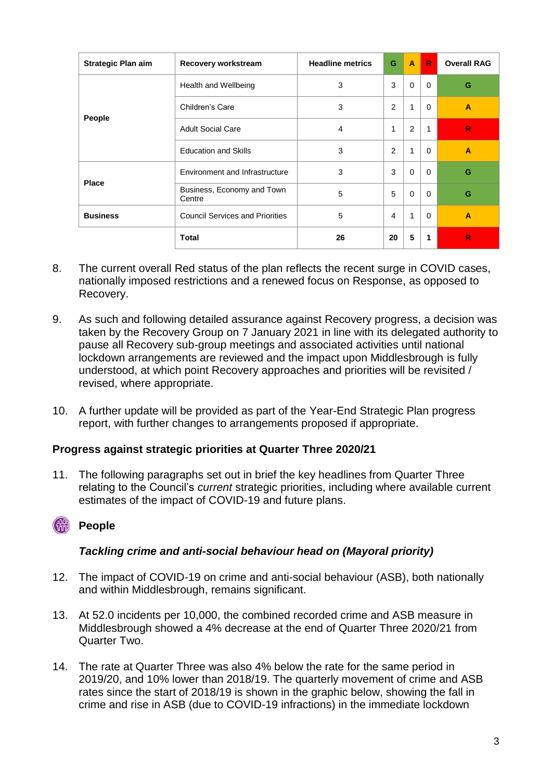| <b>Strategic Plan aim</b> | Recovery workstream                    | <b>Headline metrics</b> | G              | A        | R.       | <b>Overall RAG</b> |
|---------------------------|----------------------------------------|-------------------------|----------------|----------|----------|--------------------|
|                           | Health and Wellbeing                   | 3                       | 3              | $\Omega$ | $\Omega$ | G                  |
|                           | Children's Care                        | 3                       | 2              | 1        | $\Omega$ | A                  |
| People                    | <b>Adult Social Care</b>               | 4                       | 1              | 2        | 1        | $\mathsf{R}$       |
|                           | <b>Education and Skills</b>            | 3                       | 2              | 1        | $\Omega$ | $\overline{A}$     |
|                           | Environment and Infrastructure         | 3                       | 3              | $\Omega$ | $\Omega$ | G                  |
| <b>Place</b>              | Business, Economy and Town<br>Centre   | 5                       | 5              | $\Omega$ | $\Omega$ | G                  |
| <b>Business</b>           | <b>Council Services and Priorities</b> | 5                       | $\overline{4}$ | 1        | $\Omega$ | $\overline{A}$     |
|                           | <b>Total</b>                           | 26                      | 20             | 5        | 1        | R                  |

- 8. The current overall Red status of the plan reflects the recent surge in COVID cases, nationally imposed restrictions and a renewed focus on Response, as opposed to Recovery.
- 9. As such and following detailed assurance against Recovery progress, a decision was taken by the Recovery Group on 7 January 2021 in line with its delegated authority to pause all Recovery sub-group meetings and associated activities until national lockdown arrangements are reviewed and the impact upon Middlesbrough is fully understood, at which point Recovery approaches and priorities will be revisited / revised, where appropriate.
- 10. A further update will be provided as part of the Year-End Strategic Plan progress report, with further changes to arrangements proposed if appropriate.

## **Progress against strategic priorities at Quarter Three 2020/21**

11. The following paragraphs set out in brief the key headlines from Quarter Three relating to the Council's *current* strategic priorities, including where available current estimates of the impact of COVID-19 and future plans.

## *C* People

#### *Tackling crime and anti-social behaviour head on (Mayoral priority)*

- 12. The impact of COVID-19 on crime and anti-social behaviour (ASB), both nationally and within Middlesbrough, remains significant.
- 13. At 52.0 incidents per 10,000, the combined recorded crime and ASB measure in Middlesbrough showed a 4% decrease at the end of Quarter Three 2020/21 from Quarter Two.
- 14. The rate at Quarter Three was also 4% below the rate for the same period in 2019/20, and 10% lower than 2018/19. The quarterly movement of crime and ASB rates since the start of 2018/19 is shown in the graphic below, showing the fall in crime and rise in ASB (due to COVID-19 infractions) in the immediate lockdown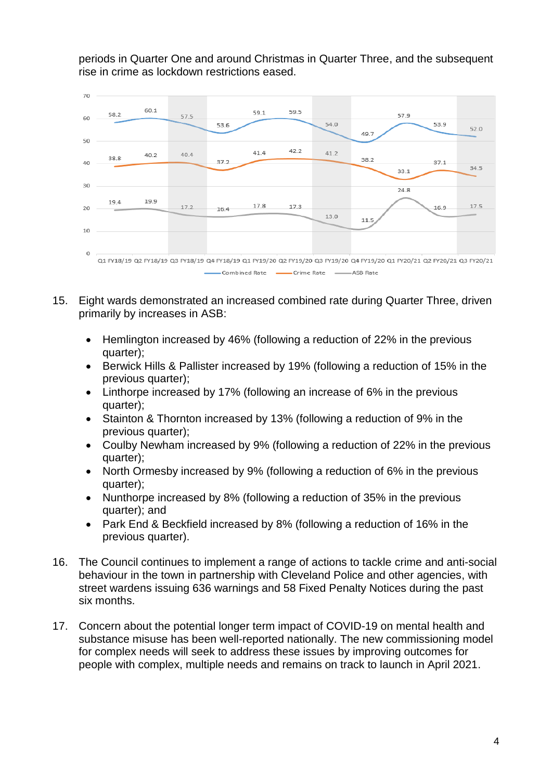periods in Quarter One and around Christmas in Quarter Three, and the subsequent rise in crime as lockdown restrictions eased.



- 15. Eight wards demonstrated an increased combined rate during Quarter Three, driven primarily by increases in ASB:
	- Hemlington increased by 46% (following a reduction of 22% in the previous quarter);
	- Berwick Hills & Pallister increased by 19% (following a reduction of 15% in the previous quarter);
	- Linthorpe increased by 17% (following an increase of 6% in the previous quarter);
	- Stainton & Thornton increased by 13% (following a reduction of 9% in the previous quarter);
	- Coulby Newham increased by 9% (following a reduction of 22% in the previous quarter);
	- North Ormesby increased by 9% (following a reduction of 6% in the previous quarter);
	- Nunthorpe increased by 8% (following a reduction of 35% in the previous quarter); and
	- Park End & Beckfield increased by 8% (following a reduction of 16% in the previous quarter).
- 16. The Council continues to implement a range of actions to tackle crime and anti-social behaviour in the town in partnership with Cleveland Police and other agencies, with street wardens issuing 636 warnings and 58 Fixed Penalty Notices during the past six months.
- 17. Concern about the potential longer term impact of COVID-19 on mental health and substance misuse has been well-reported nationally. The new commissioning model for complex needs will seek to address these issues by improving outcomes for people with complex, multiple needs and remains on track to launch in April 2021.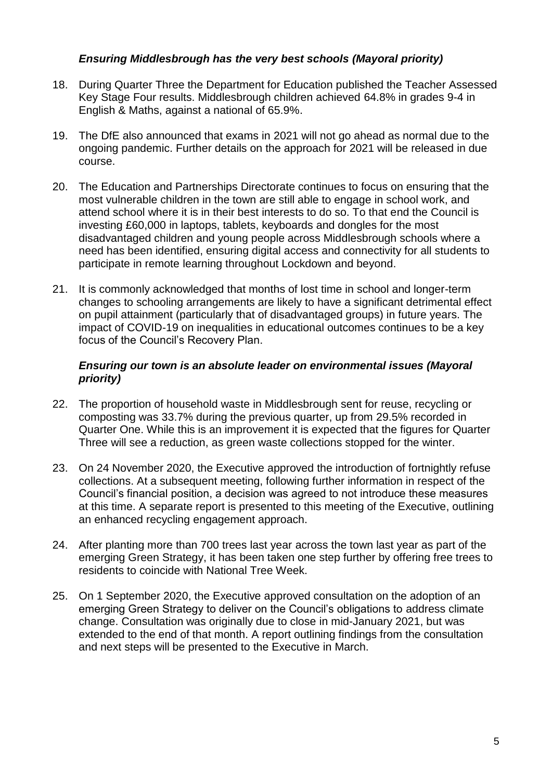## *Ensuring Middlesbrough has the very best schools (Mayoral priority)*

- 18. During Quarter Three the Department for Education published the Teacher Assessed Key Stage Four results. Middlesbrough children achieved 64.8% in grades 9-4 in English & Maths, against a national of 65.9%.
- 19. The DfE also announced that exams in 2021 will not go ahead as normal due to the ongoing pandemic. Further details on the approach for 2021 will be released in due course.
- 20. The Education and Partnerships Directorate continues to focus on ensuring that the most vulnerable children in the town are still able to engage in school work, and attend school where it is in their best interests to do so. To that end the Council is investing £60,000 in laptops, tablets, keyboards and dongles for the most disadvantaged children and young people across Middlesbrough schools where a need has been identified, ensuring digital access and connectivity for all students to participate in remote learning throughout Lockdown and beyond.
- 21. It is commonly acknowledged that months of lost time in school and longer-term changes to schooling arrangements are likely to have a significant detrimental effect on pupil attainment (particularly that of disadvantaged groups) in future years. The impact of COVID-19 on inequalities in educational outcomes continues to be a key focus of the Council's Recovery Plan.

#### *Ensuring our town is an absolute leader on environmental issues (Mayoral priority)*

- 22. The proportion of household waste in Middlesbrough sent for reuse, recycling or composting was 33.7% during the previous quarter, up from 29.5% recorded in Quarter One. While this is an improvement it is expected that the figures for Quarter Three will see a reduction, as green waste collections stopped for the winter.
- 23. On 24 November 2020, the Executive approved the introduction of fortnightly refuse collections. At a subsequent meeting, following further information in respect of the Council's financial position, a decision was agreed to not introduce these measures at this time. A separate report is presented to this meeting of the Executive, outlining an enhanced recycling engagement approach.
- 24. After planting more than 700 trees last year across the town last year as part of the emerging Green Strategy, it has been taken one step further by offering free trees to residents to coincide with National Tree Week.
- 25. On 1 September 2020, the Executive approved consultation on the adoption of an emerging Green Strategy to deliver on the Council's obligations to address climate change. Consultation was originally due to close in mid-January 2021, but was extended to the end of that month. A report outlining findings from the consultation and next steps will be presented to the Executive in March.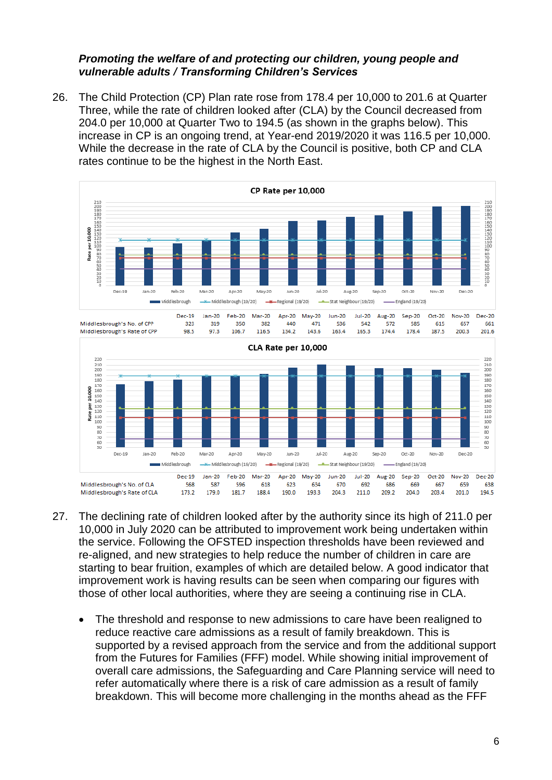#### *Promoting the welfare of and protecting our children, young people and vulnerable adults / Transforming Children's Services*

26. The Child Protection (CP) Plan rate rose from 178.4 per 10,000 to 201.6 at Quarter Three, while the rate of children looked after (CLA) by the Council decreased from 204.0 per 10,000 at Quarter Two to 194.5 (as shown in the graphs below). This increase in CP is an ongoing trend, at Year-end 2019/2020 it was 116.5 per 10,000. While the decrease in the rate of CLA by the Council is positive, both CP and CLA rates continue to be the highest in the North East.



- 27. The declining rate of children looked after by the authority since its high of 211.0 per 10,000 in July 2020 can be attributed to improvement work being undertaken within the service. Following the OFSTED inspection thresholds have been reviewed and re-aligned, and new strategies to help reduce the number of children in care are starting to bear fruition, examples of which are detailed below. A good indicator that improvement work is having results can be seen when comparing our figures with those of other local authorities, where they are seeing a continuing rise in CLA.
	- The threshold and response to new admissions to care have been realigned to reduce reactive care admissions as a result of family breakdown. This is supported by a revised approach from the service and from the additional support from the Futures for Families (FFF) model. While showing initial improvement of overall care admissions, the Safeguarding and Care Planning service will need to refer automatically where there is a risk of care admission as a result of family breakdown. This will become more challenging in the months ahead as the FFF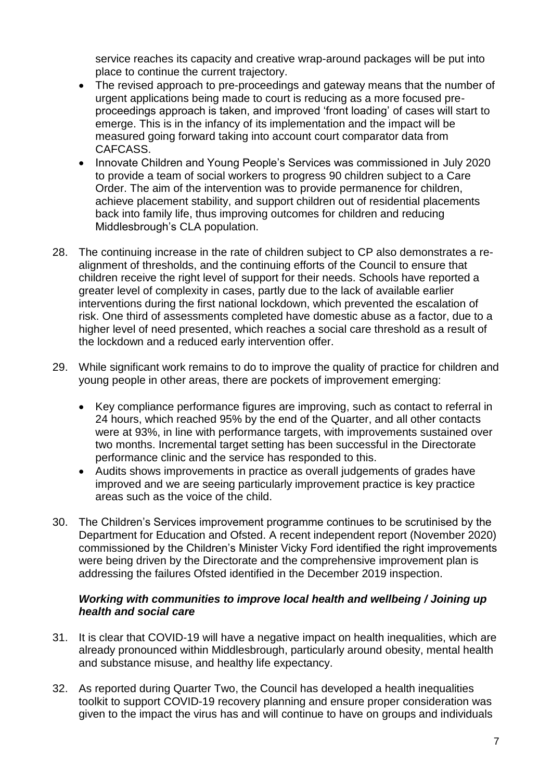service reaches its capacity and creative wrap-around packages will be put into place to continue the current trajectory.

- The revised approach to pre-proceedings and gateway means that the number of urgent applications being made to court is reducing as a more focused preproceedings approach is taken, and improved 'front loading' of cases will start to emerge. This is in the infancy of its implementation and the impact will be measured going forward taking into account court comparator data from CAFCASS.
- Innovate Children and Young People's Services was commissioned in July 2020 to provide a team of social workers to progress 90 children subject to a Care Order. The aim of the intervention was to provide permanence for children, achieve placement stability, and support children out of residential placements back into family life, thus improving outcomes for children and reducing Middlesbrough's CLA population.
- 28. The continuing increase in the rate of children subject to CP also demonstrates a realignment of thresholds, and the continuing efforts of the Council to ensure that children receive the right level of support for their needs. Schools have reported a greater level of complexity in cases, partly due to the lack of available earlier interventions during the first national lockdown, which prevented the escalation of risk. One third of assessments completed have domestic abuse as a factor, due to a higher level of need presented, which reaches a social care threshold as a result of the lockdown and a reduced early intervention offer.
- 29. While significant work remains to do to improve the quality of practice for children and young people in other areas, there are pockets of improvement emerging:
	- Key compliance performance figures are improving, such as contact to referral in 24 hours, which reached 95% by the end of the Quarter, and all other contacts were at 93%, in line with performance targets, with improvements sustained over two months. Incremental target setting has been successful in the Directorate performance clinic and the service has responded to this.
	- Audits shows improvements in practice as overall judgements of grades have improved and we are seeing particularly improvement practice is key practice areas such as the voice of the child.
- 30. The Children's Services improvement programme continues to be scrutinised by the Department for Education and Ofsted. A recent independent report (November 2020) commissioned by the Children's Minister Vicky Ford identified the right improvements were being driven by the Directorate and the comprehensive improvement plan is addressing the failures Ofsted identified in the December 2019 inspection.

#### *Working with communities to improve local health and wellbeing / Joining up health and social care*

- 31. It is clear that COVID-19 will have a negative impact on health inequalities, which are already pronounced within Middlesbrough, particularly around obesity, mental health and substance misuse, and healthy life expectancy.
- 32. As reported during Quarter Two, the Council has developed a health inequalities toolkit to support COVID-19 recovery planning and ensure proper consideration was given to the impact the virus has and will continue to have on groups and individuals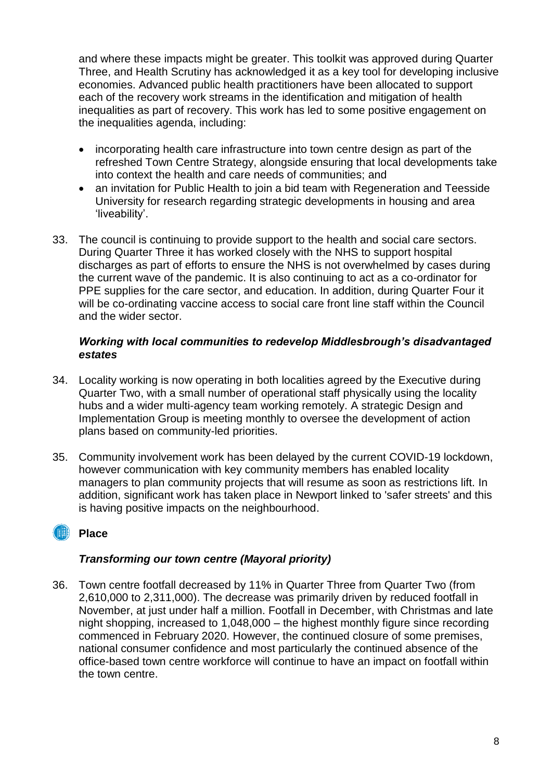and where these impacts might be greater. This toolkit was approved during Quarter Three, and Health Scrutiny has acknowledged it as a key tool for developing inclusive economies. Advanced public health practitioners have been allocated to support each of the recovery work streams in the identification and mitigation of health inequalities as part of recovery. This work has led to some positive engagement on the inequalities agenda, including:

- incorporating health care infrastructure into town centre design as part of the refreshed Town Centre Strategy, alongside ensuring that local developments take into context the health and care needs of communities; and
- an invitation for Public Health to join a bid team with Regeneration and Teesside University for research regarding strategic developments in housing and area 'liveability'.
- 33. The council is continuing to provide support to the health and social care sectors. During Quarter Three it has worked closely with the NHS to support hospital discharges as part of efforts to ensure the NHS is not overwhelmed by cases during the current wave of the pandemic. It is also continuing to act as a co-ordinator for PPE supplies for the care sector, and education. In addition, during Quarter Four it will be co-ordinating vaccine access to social care front line staff within the Council and the wider sector.

#### *Working with local communities to redevelop Middlesbrough's disadvantaged estates*

- 34. Locality working is now operating in both localities agreed by the Executive during Quarter Two, with a small number of operational staff physically using the locality hubs and a wider multi-agency team working remotely. A strategic Design and Implementation Group is meeting monthly to oversee the development of action plans based on community-led priorities.
- 35. Community involvement work has been delayed by the current COVID-19 lockdown, however communication with key community members has enabled locality managers to plan community projects that will resume as soon as restrictions lift. In addition, significant work has taken place in Newport linked to 'safer streets' and this is having positive impacts on the neighbourhood.

## **Place**

## *Transforming our town centre (Mayoral priority)*

36. Town centre footfall decreased by 11% in Quarter Three from Quarter Two (from 2,610,000 to 2,311,000). The decrease was primarily driven by reduced footfall in November, at just under half a million. Footfall in December, with Christmas and late night shopping, increased to 1,048,000 – the highest monthly figure since recording commenced in February 2020. However, the continued closure of some premises, national consumer confidence and most particularly the continued absence of the office-based town centre workforce will continue to have an impact on footfall within the town centre.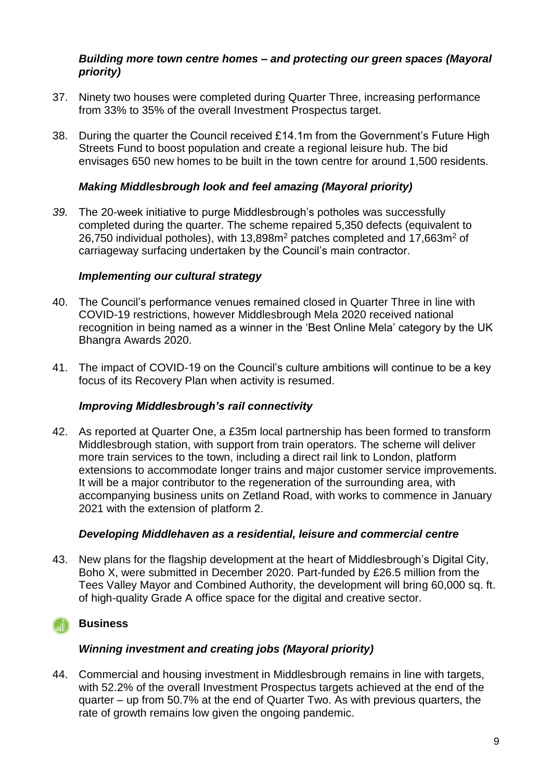#### *Building more town centre homes – and protecting our green spaces (Mayoral priority)*

- 37. Ninety two houses were completed during Quarter Three, increasing performance from 33% to 35% of the overall Investment Prospectus target.
- 38. During the quarter the Council received £14.1m from the Government's Future High Streets Fund to boost population and create a regional leisure hub. The bid envisages 650 new homes to be built in the town centre for around 1,500 residents.

## *Making Middlesbrough look and feel amazing (Mayoral priority)*

*39.* The 20-week initiative to purge Middlesbrough's potholes was successfully completed during the quarter. The scheme repaired 5,350 defects (equivalent to 26,750 individual potholes), with 13,898m<sup>2</sup> patches completed and 17,663m<sup>2</sup> of carriageway surfacing undertaken by the Council's main contractor.

#### *Implementing our cultural strategy*

- 40. The Council's performance venues remained closed in Quarter Three in line with COVID-19 restrictions, however Middlesbrough Mela 2020 received national recognition in being named as a winner in the 'Best Online Mela' category by the UK Bhangra Awards 2020.
- 41. The impact of COVID-19 on the Council's culture ambitions will continue to be a key focus of its Recovery Plan when activity is resumed.

## *Improving Middlesbrough's rail connectivity*

42. As reported at Quarter One, a £35m local partnership has been formed to transform Middlesbrough station, with support from train operators. The scheme will deliver more train services to the town, including a direct rail link to London, platform extensions to accommodate longer trains and major customer service improvements. It will be a major contributor to the regeneration of the surrounding area, with accompanying business units on Zetland Road, with works to commence in January 2021 with the extension of platform 2.

#### *Developing Middlehaven as a residential, leisure and commercial centre*

43. New plans for the flagship development at the heart of Middlesbrough's Digital City, Boho X, were submitted in December 2020. Part-funded by £26.5 million from the Tees Valley Mayor and Combined Authority, the development will bring 60,000 sq. ft. of high-quality Grade A office space for the digital and creative sector.

## **Business**

## *Winning investment and creating jobs (Mayoral priority)*

44. Commercial and housing investment in Middlesbrough remains in line with targets, with 52.2% of the overall Investment Prospectus targets achieved at the end of the quarter – up from 50.7% at the end of Quarter Two. As with previous quarters, the rate of growth remains low given the ongoing pandemic.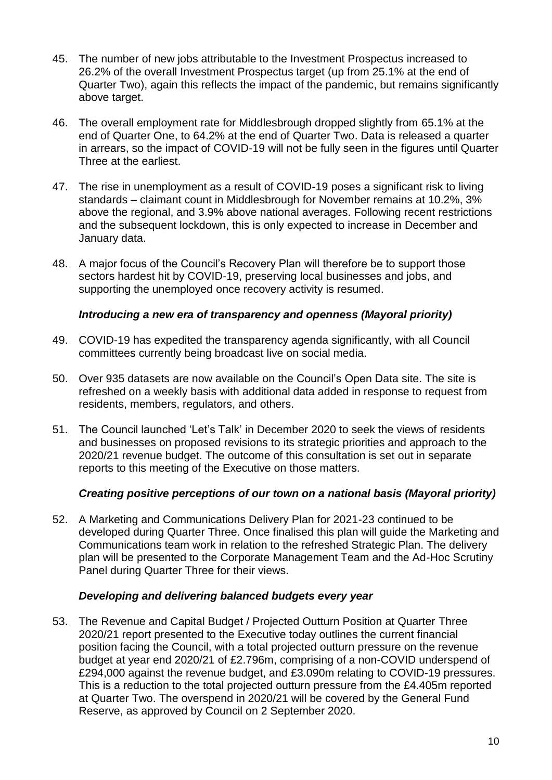- 45. The number of new jobs attributable to the Investment Prospectus increased to 26.2% of the overall Investment Prospectus target (up from 25.1% at the end of Quarter Two), again this reflects the impact of the pandemic, but remains significantly above target.
- 46. The overall employment rate for Middlesbrough dropped slightly from 65.1% at the end of Quarter One, to 64.2% at the end of Quarter Two. Data is released a quarter in arrears, so the impact of COVID-19 will not be fully seen in the figures until Quarter Three at the earliest.
- 47. The rise in unemployment as a result of COVID-19 poses a significant risk to living standards – claimant count in Middlesbrough for November remains at 10.2%, 3% above the regional, and 3.9% above national averages. Following recent restrictions and the subsequent lockdown, this is only expected to increase in December and January data.
- 48. A major focus of the Council's Recovery Plan will therefore be to support those sectors hardest hit by COVID-19, preserving local businesses and jobs, and supporting the unemployed once recovery activity is resumed.

#### *Introducing a new era of transparency and openness (Mayoral priority)*

- 49. COVID-19 has expedited the transparency agenda significantly, with all Council committees currently being broadcast live on social media.
- 50. Over 935 datasets are now available on the Council's Open Data site. The site is refreshed on a weekly basis with additional data added in response to request from residents, members, regulators, and others.
- 51. The Council launched 'Let's Talk' in December 2020 to seek the views of residents and businesses on proposed revisions to its strategic priorities and approach to the 2020/21 revenue budget. The outcome of this consultation is set out in separate reports to this meeting of the Executive on those matters.

## *Creating positive perceptions of our town on a national basis (Mayoral priority)*

52. A Marketing and Communications Delivery Plan for 2021-23 continued to be developed during Quarter Three. Once finalised this plan will guide the Marketing and Communications team work in relation to the refreshed Strategic Plan. The delivery plan will be presented to the Corporate Management Team and the Ad-Hoc Scrutiny Panel during Quarter Three for their views.

## *Developing and delivering balanced budgets every year*

53. The Revenue and Capital Budget / Projected Outturn Position at Quarter Three 2020/21 report presented to the Executive today outlines the current financial position facing the Council, with a total projected outturn pressure on the revenue budget at year end 2020/21 of £2.796m, comprising of a non-COVID underspend of £294,000 against the revenue budget, and £3.090m relating to COVID-19 pressures. This is a reduction to the total projected outturn pressure from the £4.405m reported at Quarter Two. The overspend in 2020/21 will be covered by the General Fund Reserve, as approved by Council on 2 September 2020.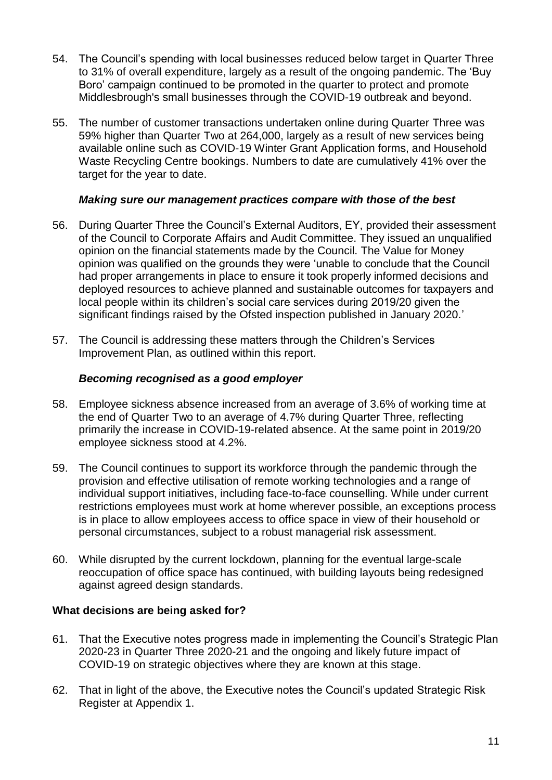- 54. The Council's spending with local businesses reduced below target in Quarter Three to 31% of overall expenditure, largely as a result of the ongoing pandemic. The 'Buy Boro' campaign continued to be promoted in the quarter to protect and promote Middlesbrough's small businesses through the COVID-19 outbreak and beyond.
- 55. The number of customer transactions undertaken online during Quarter Three was 59% higher than Quarter Two at 264,000, largely as a result of new services being available online such as COVID-19 Winter Grant Application forms, and Household Waste Recycling Centre bookings. Numbers to date are cumulatively 41% over the target for the year to date.

#### *Making sure our management practices compare with those of the best*

- 56. During Quarter Three the Council's External Auditors, EY, provided their assessment of the Council to Corporate Affairs and Audit Committee. They issued an unqualified opinion on the financial statements made by the Council. The Value for Money opinion was qualified on the grounds they were 'unable to conclude that the Council had proper arrangements in place to ensure it took properly informed decisions and deployed resources to achieve planned and sustainable outcomes for taxpayers and local people within its children's social care services during 2019/20 given the significant findings raised by the Ofsted inspection published in January 2020.'
- 57. The Council is addressing these matters through the Children's Services Improvement Plan, as outlined within this report.

#### *Becoming recognised as a good employer*

- 58. Employee sickness absence increased from an average of 3.6% of working time at the end of Quarter Two to an average of 4.7% during Quarter Three, reflecting primarily the increase in COVID-19-related absence. At the same point in 2019/20 employee sickness stood at 4.2%.
- 59. The Council continues to support its workforce through the pandemic through the provision and effective utilisation of remote working technologies and a range of individual support initiatives, including face-to-face counselling. While under current restrictions employees must work at home wherever possible, an exceptions process is in place to allow employees access to office space in view of their household or personal circumstances, subject to a robust managerial risk assessment.
- 60. While disrupted by the current lockdown, planning for the eventual large-scale reoccupation of office space has continued, with building layouts being redesigned against agreed design standards.

#### **What decisions are being asked for?**

- 61. That the Executive notes progress made in implementing the Council's Strategic Plan 2020-23 in Quarter Three 2020-21 and the ongoing and likely future impact of COVID-19 on strategic objectives where they are known at this stage.
- 62. That in light of the above, the Executive notes the Council's updated Strategic Risk Register at Appendix 1.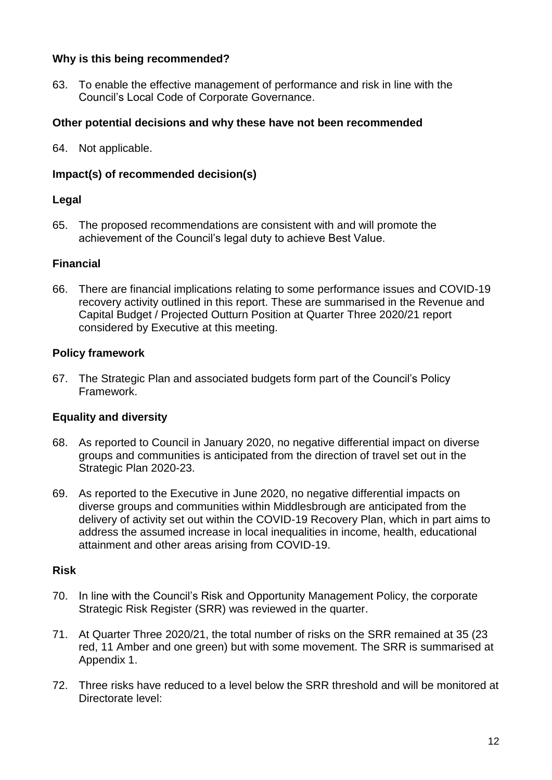## **Why is this being recommended?**

63. To enable the effective management of performance and risk in line with the Council's Local Code of Corporate Governance.

## **Other potential decisions and why these have not been recommended**

64. Not applicable.

## **Impact(s) of recommended decision(s)**

#### **Legal**

65. The proposed recommendations are consistent with and will promote the achievement of the Council's legal duty to achieve Best Value.

#### **Financial**

66. There are financial implications relating to some performance issues and COVID-19 recovery activity outlined in this report. These are summarised in the Revenue and Capital Budget / Projected Outturn Position at Quarter Three 2020/21 report considered by Executive at this meeting.

#### **Policy framework**

67. The Strategic Plan and associated budgets form part of the Council's Policy Framework.

## **Equality and diversity**

- 68. As reported to Council in January 2020, no negative differential impact on diverse groups and communities is anticipated from the direction of travel set out in the Strategic Plan 2020-23.
- 69. As reported to the Executive in June 2020, no negative differential impacts on diverse groups and communities within Middlesbrough are anticipated from the delivery of activity set out within the COVID-19 Recovery Plan, which in part aims to address the assumed increase in local inequalities in income, health, educational attainment and other areas arising from COVID-19.

#### **Risk**

- 70. In line with the Council's Risk and Opportunity Management Policy, the corporate Strategic Risk Register (SRR) was reviewed in the quarter.
- 71. At Quarter Three 2020/21, the total number of risks on the SRR remained at 35 (23 red, 11 Amber and one green) but with some movement. The SRR is summarised at Appendix 1.
- 72. Three risks have reduced to a level below the SRR threshold and will be monitored at Directorate level: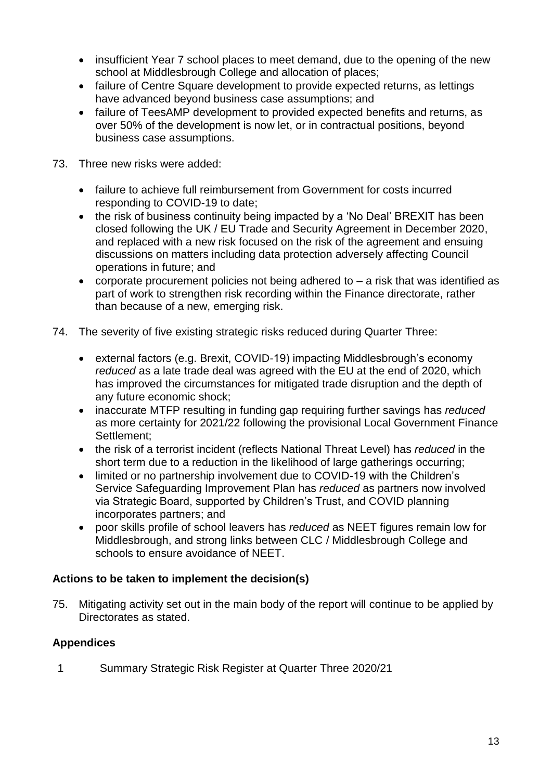- insufficient Year 7 school places to meet demand, due to the opening of the new school at Middlesbrough College and allocation of places;
- failure of Centre Square development to provide expected returns, as lettings have advanced beyond business case assumptions; and
- failure of TeesAMP development to provided expected benefits and returns, as over 50% of the development is now let, or in contractual positions, beyond business case assumptions.
- 73. Three new risks were added:
	- failure to achieve full reimbursement from Government for costs incurred responding to COVID-19 to date;
	- the risk of business continuity being impacted by a 'No Deal' BREXIT has been closed following the UK / EU Trade and Security Agreement in December 2020, and replaced with a new risk focused on the risk of the agreement and ensuing discussions on matters including data protection adversely affecting Council operations in future; and
	- corporate procurement policies not being adhered to  $-$  a risk that was identified as part of work to strengthen risk recording within the Finance directorate, rather than because of a new, emerging risk.
- 74. The severity of five existing strategic risks reduced during Quarter Three:
	- external factors (e.g. Brexit, COVID-19) impacting Middlesbrough's economy *reduced* as a late trade deal was agreed with the EU at the end of 2020, which has improved the circumstances for mitigated trade disruption and the depth of any future economic shock;
	- inaccurate MTFP resulting in funding gap requiring further savings has *reduced* as more certainty for 2021/22 following the provisional Local Government Finance Settlement;
	- the risk of a terrorist incident (reflects National Threat Level) has *reduced* in the short term due to a reduction in the likelihood of large gatherings occurring:
	- limited or no partnership involvement due to COVID-19 with the Children's Service Safeguarding Improvement Plan has *reduced* as partners now involved via Strategic Board, supported by Children's Trust, and COVID planning incorporates partners; and
	- poor skills profile of school leavers has *reduced* as NEET figures remain low for Middlesbrough, and strong links between CLC / Middlesbrough College and schools to ensure avoidance of NEET.

## **Actions to be taken to implement the decision(s)**

75. Mitigating activity set out in the main body of the report will continue to be applied by Directorates as stated.

## **Appendices**

1 Summary Strategic Risk Register at Quarter Three 2020/21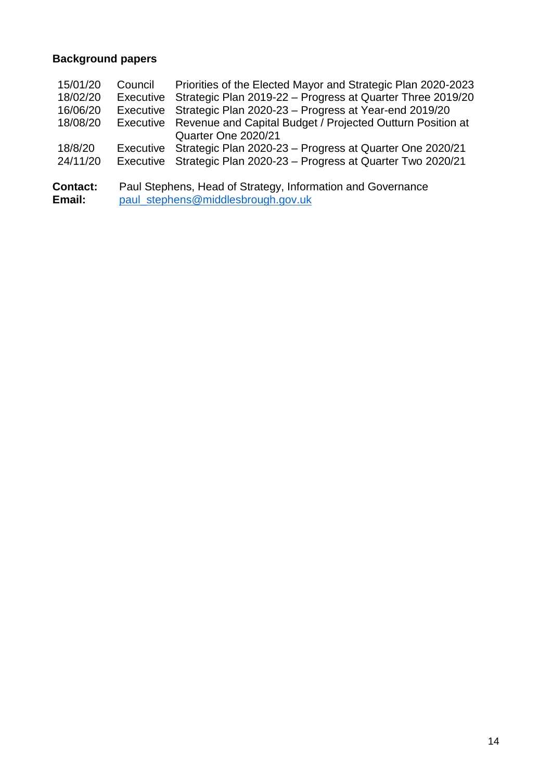# **Background papers**

| <b>Contact:</b><br>Email: |                  | Paul Stephens, Head of Strategy, Information and Governance<br>paul_stephens@middlesbrough.gov.uk |
|---------------------------|------------------|---------------------------------------------------------------------------------------------------|
| 24/11/20                  | Executive        | Strategic Plan 2020-23 - Progress at Quarter Two 2020/21                                          |
| 18/8/20                   | Executive        | Quarter One 2020/21<br>Strategic Plan 2020-23 - Progress at Quarter One 2020/21                   |
| 18/08/20                  | Executive        | Revenue and Capital Budget / Projected Outturn Position at                                        |
| 16/06/20                  | <b>Executive</b> | Strategic Plan 2020-23 - Progress at Year-end 2019/20                                             |
| 18/02/20                  | Executive        | Strategic Plan 2019-22 - Progress at Quarter Three 2019/20                                        |
| 15/01/20                  | Council          | Priorities of the Elected Mayor and Strategic Plan 2020-2023                                      |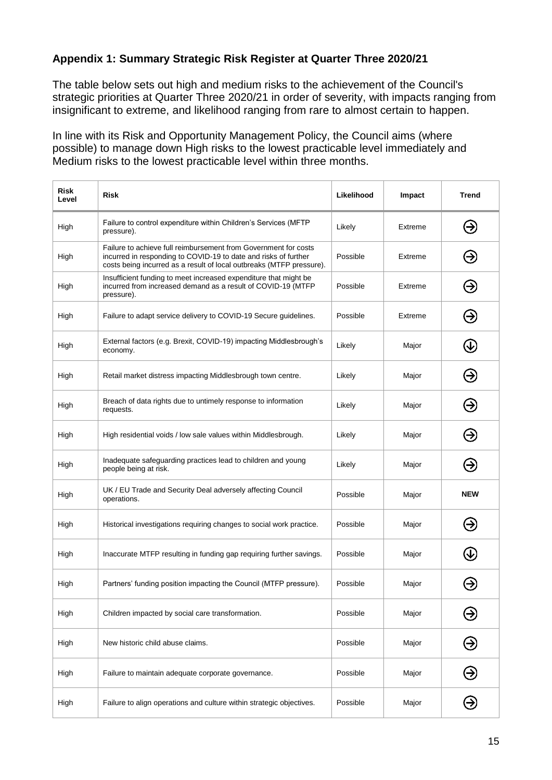## **Appendix 1: Summary Strategic Risk Register at Quarter Three 2020/21**

The table below sets out high and medium risks to the achievement of the Council's strategic priorities at Quarter Three 2020/21 in order of severity, with impacts ranging from insignificant to extreme, and likelihood ranging from rare to almost certain to happen.

In line with its Risk and Opportunity Management Policy, the Council aims (where possible) to manage down High risks to the lowest practicable level immediately and Medium risks to the lowest practicable level within three months.

| <b>Risk</b><br>Level | <b>Risk</b>                                                                                                                                                                                                | Likelihood | Impact  | <b>Trend</b>  |
|----------------------|------------------------------------------------------------------------------------------------------------------------------------------------------------------------------------------------------------|------------|---------|---------------|
| High                 | Failure to control expenditure within Children's Services (MFTP<br>pressure).                                                                                                                              | Likely     | Extreme | ⊛             |
| High                 | Failure to achieve full reimbursement from Government for costs<br>incurred in responding to COVID-19 to date and risks of further<br>costs being incurred as a result of local outbreaks (MTFP pressure). | Possible   | Extreme | ❸             |
| High                 | Insufficient funding to meet increased expenditure that might be<br>incurred from increased demand as a result of COVID-19 (MTFP<br>pressure).                                                             | Possible   | Extreme | ❸             |
| High                 | Failure to adapt service delivery to COVID-19 Secure guidelines.                                                                                                                                           | Possible   | Extreme | Э             |
| High                 | External factors (e.g. Brexit, COVID-19) impacting Middlesbrough's<br>economy.                                                                                                                             | Likely     | Major   | $\bigcirc$    |
| High                 | Retail market distress impacting Middlesbrough town centre.                                                                                                                                                | Likely     | Major   | ❸             |
| High                 | Breach of data rights due to untimely response to information<br>requests.                                                                                                                                 | Likely     | Major   | Э             |
| High                 | High residential voids / low sale values within Middlesbrough.                                                                                                                                             | Likely     | Major   | ⊝             |
| High                 | Inadequate safeguarding practices lead to children and young<br>people being at risk.                                                                                                                      | Likely     | Major   | ⊖             |
| High                 | UK / EU Trade and Security Deal adversely affecting Council<br>operations.                                                                                                                                 | Possible   | Major   | <b>NEW</b>    |
| High                 | Historical investigations requiring changes to social work practice.                                                                                                                                       | Possible   | Major   | Э             |
| High                 | Inaccurate MTFP resulting in funding gap requiring further savings.                                                                                                                                        | Possible   | Major   | Œ             |
| High                 | Partners' funding position impacting the Council (MTFP pressure).                                                                                                                                          | Possible   | Major   |               |
| High                 | Children impacted by social care transformation.                                                                                                                                                           | Possible   | Major   | Э             |
| High                 | New historic child abuse claims.                                                                                                                                                                           | Possible   | Major   | $\bm{\Theta}$ |
| High                 | Failure to maintain adequate corporate governance.                                                                                                                                                         | Possible   | Major   | $\bm{\Theta}$ |
| High                 | Failure to align operations and culture within strategic objectives.                                                                                                                                       | Possible   | Major   | ⊛             |